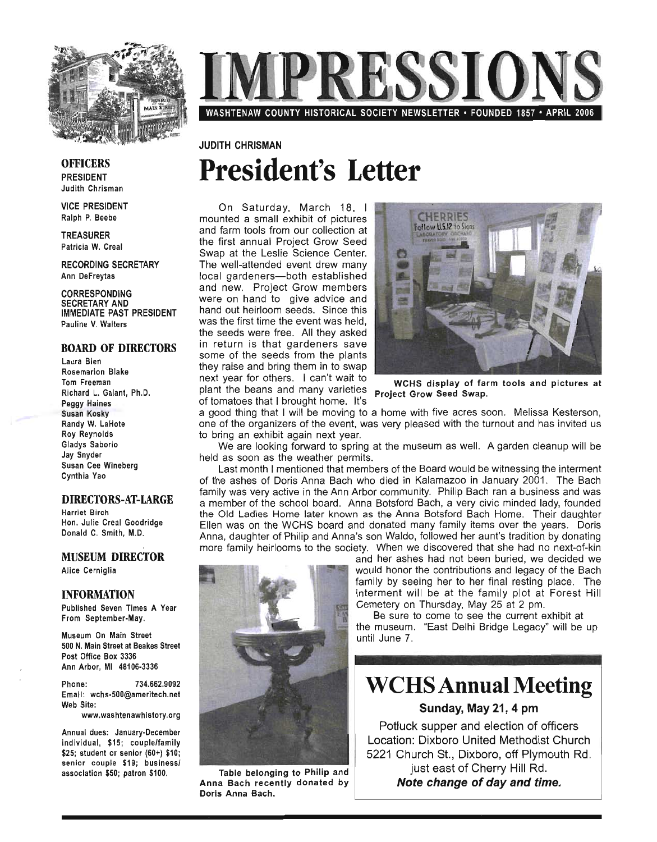

# RESSIO WASHTENAW COUNTY HISTORICAL SOCIETY NEWSLETTER· FOUNDED 1857 • APRIL 2006

# JUDITH CHRISMAN **President's Letter**

On Saturday, March 18, I mounted a small exhibit of pictures and farm tools from our collection at the first annual Project Grow Seed Swap at the Leslie Science Center. The well-attended event drew many local gardeners-both established and new. Project Grow members were on hand to give advice and hand out heirloom seeds. Since this was the first time the event was held. the seeds were free. All they asked in return is that gardeners save some of the seeds from the plants they raise and bring them in to swap next year for others. I can't wait to wCHS display of farm tools and pictures at plant the beans and many varieties **Project Grow Seed Swap**. of tomatoes that I brought home. It's



a good thing that I will be moving to a home with five acres soon. Melissa Kesterson, one of the organizers of the event, was very pleased with the turnout and has invited us to bring an exhibit again next year.

We are looking forward to spring at the museum as well. A garden cleanup will be held as soon as the weather permits.

Last month I mentioned that members of the Board would be witnessing the interment of the ashes of Doris Anna Bach who died in Kalamazoo in January 2001. The Bach family was very active in the Ann Arbor community. Philip Bach ran a business and was a member of the school board. Anna Botsford Bach, a very civic minded lady, founded the Old Ladies Home later known as the Anna Botsford Bach Home. Their daughter Ellen was on the WCHS board and donated many family items over the years. Doris Anna, daughter of Philip and Anna's son Waldo, followed her aunt's tradition by donating more family heirlooms to the society. When we discovered that she had no next-of-kin



Table belonging to Philip and | Table belonging to Philip and IIIIa Dach Teceni<br>Anna Bach

and her ashes had not been buried, we decided we would honor the contributions and legacy of the Bach family by seeing her to her final resting place. The interment will be at the family plot at Forest Hill Cemetery on Thursday, May 25 at 2 pm.

Be sure to come to see the current exhibit at Le sare to come to see the carrent exhibit at<br>the museum. "East Delhi Bridge Legacy" will be up<br>thil June 7. until June 7.

# **WCHS Annual Meeting**

Sunday, May 21, 4 pm

Potluck supper and election of officers Location: Dixboro United Methodist Church 5221 Church St., Dixboro, off Plymouth Rd. just east of Cherry Hill Rd. Note change of day and time.

#### **OFFICERS** PRESIDENT Judith Chrisman

VICE PRESIDENT Ralph P. Beebe

TREASURER Patricia W. Creal

RECORDING SECRETARY Ann DeFreytas

CORRESPONDING SECRETARY AND IMMEDIATE PAST PRESIDENT Pauline V. Walters

#### BOARD OF DIRECTORS

Laura Bien Rosemarion Blake Tom Freeman Richard L. Galant, Ph.D. Peggy Haines Susan Kosky Randy W. LaHote Roy Reynolds Gladys Saborio Jay Snyder Susan Cee Wineberg Cynthia Yao

#### DIRECTORS-AT-LARGE

Harriet Birch Hon. Julie Creal Goodridge Donald C. Smith, M.D.

#### MUSEUM DIRECTOR

Alice Cerniglia

#### INFORMATION

Published Seven Times A Year From September-May.

Museum On Main Street 500 N. Main Street at Beakes Street Post Office Box 3336 Ann Arbor, MI 481 06-3336

Phone: 734.662.9092 Email: wchs-500@ameritech.net Web Site:

www.washtenawhistory.org

Annual dues: January-December individual, \$15; couple/family \$25; student or senior (60+) \$10; senior couple \$19; business/ association \$50; patron \$100.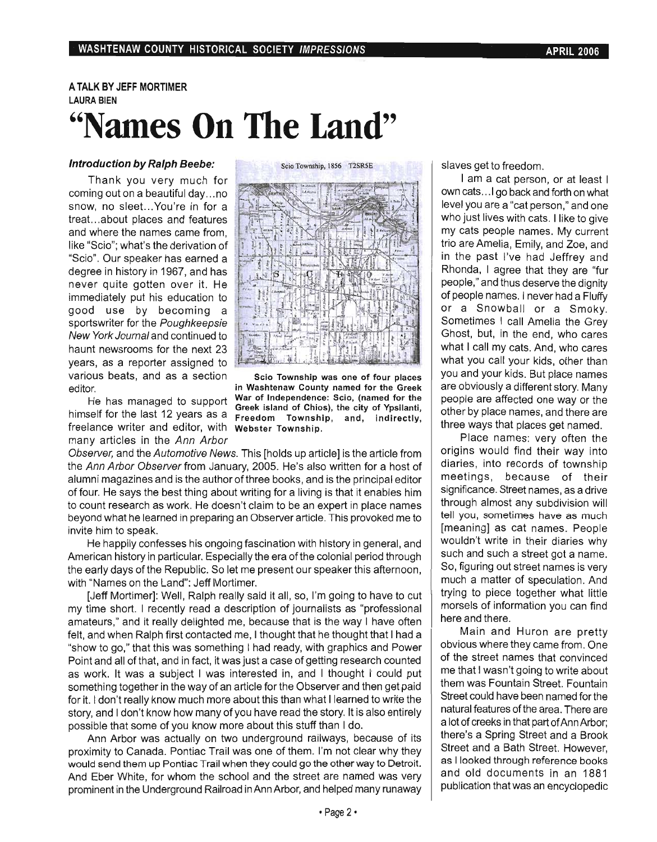# A TALK BY JEFF MORTIMER LAURA BIEN **"Names On The Land"**

#### Introduction by Ralph Beebe:

Thank you very much for coming out on a beautiful day ... no snow, no sleet... You're in for a treat ... about places and features and where the names came from, like "Scio"; what's the derivation of "Scio". Our speaker has earned a degree in history in 1967, and has never quite gotten over it. He immediately put his education to good use by becoming a sportswriter for the Poughkeepsie New York Journal and continued to haunt newsrooms for the next 23 years, as a reporter assigned to various beats, and as a section editor.

He has managed to support himself for the last 12 years as a freelance writer and editor, with Webster Township. many articles in the Ann Arbor



Scio Township was one of four places in Washtenaw County named for the Greek War of Independence: Scio, (named for the Greek island of Chios), the city of Ypsilanti, Freedom Township, and, indirectly,

Observer, and the Automotive News. This [holds up article] is the article from the Ann Arbor Observer from January, 2005. He's also written for a host of alumni magazines and is the author of three books, and is the principal editor of four. He says the best thing about writing for a living is that it enables him to count research as work. He doesn't claim to be an expert in place names beyond what he learned in preparing an Observer article. This provoked me to invite him to speak.

He happily confesses his ongoing fascination with history in general, and American history in particular. Especially the era of the colonial period through the early days of the Republic. So let me present our speaker this afternoon, with "Names on the Land": Jeff Mortimer.

[Jeff Mortimer]: Well, Ralph really said it all, so, I'm going to have to cut my time short. I recently read a description of journalists as "professional amateurs," and it really delighted me, because that is the way I have often felt, and when Ralph first contacted me, I thought that he thought that I had a "show to go," that this was something I had ready, with graphics and Power Point and all of that, and in fact, it was just a case of getting research counted as work. It was a subject I was interested in, and I thought I could put something together in the way of an article for the Observer and then get paid for it. I don't really know much more about this than what I learned to write the story, and I don't know how many of you have read the story. It is also entirely possible that some of you know more about this stuff than I do.

Ann Arbor was actually on two underground railways, because of its proximity to Canada. Pontiac Trail was one of them. I'm not clear why they would send them up Pontiac Trail when they could go the other way to Detroit. And Eber White, for whom the school and the street are named was very prominent in the Underground Railroad in Ann Arbor, and helped many runaway

slaves get to freedom.

I am a cat person, or at least I own cats ... 1 go back and forth on what level you are a "cat person," and one who just lives with cats. I like to give my cats people names. My current trio are Amelia, Emily, and Zoe, and in the past I've had Jeffrey and Rhonda, I agree that they are "fur people," and thus deserve the dignity of people names. I never had a Fluffy or a Snowball or a Smoky. Sometimes I call Amelia the Grey Ghost, but, in the end, who cares what I call my cats. And, who cares what you call your kids, other than you and your kids. But place names are obviously a different story. Many people are affected one way or the other by place names, and there are three ways that places get named.

Place names: very often the origins would find their way into diaries, into records of township meetings, because of their significance. Street names, as a drive through almost any subdivision will tell you, sometimes have as much [meaning] as cat names. People wouldn't write in their diaries why such and such a street got a name. So, figuring out street names is very much a matter of speculation. And trying to piece together what little morsels of information you can find here and there.

Main and Huron are pretty obvious where they came from. One of the street names that convinced me that I wasn't going to write about them was Fountain Street. Fountain Street could have been named for the natural features of the area. There are a lot of creeks in that part of Ann Arbor; there's a Spring Street and a Brook Street and a Bath Street. However, as I looked through reference books and old documents in an 1881 publication that was an encyclopedic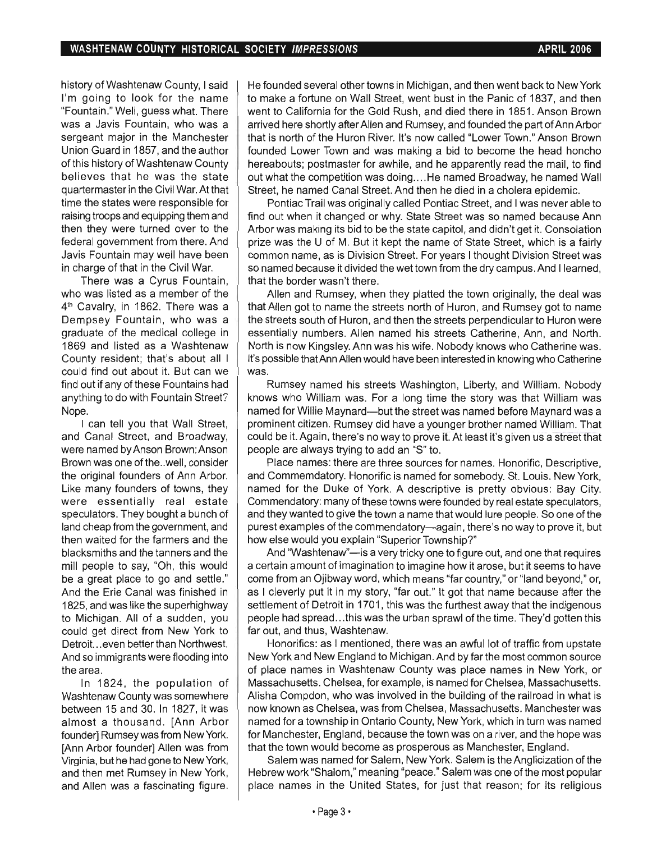history of Washtenaw County, I said I'm going to look for the name "Fountain." Well, guess what. There was a Javis Fountain, who was a sergeant major in the Manchester Union Guard in 1857, and the author of this history of Washtenaw County believes that he was the state quartermaster in the Civil War. At that time the states were responsible for raising troops and equipping them and then they were turned over to the federal government from there. And Javis Fountain may well have been in charge of that in the Civil War.

There was a Cyrus Fountain, who was listed as a member of the 4<sup>th</sup> Cavalry, in 1862. There was a Dempsey Fountain, who was a graduate of the medical college in 1869 and listed as a Washtenaw County resident; that's about all I could find out about it. But can we find out if any of these Fountains had anything to do with Fountain Street? Nope.

I can tell you that Wall Street, and Canal Street, and Broadway, were named by Anson Brown; Anson Brown was one of the..well, consider the original founders of Ann Arbor. Like many founders of towns, they were essentially real estate speculators. They bought a bunch of land cheap from the government, and then waited for the farmers and the blacksmiths and the tanners and the mill people to say, "Oh, this would be a great place to go and settle." And the Erie Canal was finished in 1825, and was like the superhighway to Michigan. All of a sudden, you could get direct from New York to Detroit. .. even better than Northwest. And so immigrants were flooding into the area.

In 1824, the population of Washtenaw County was somewhere between 15 and 30. In 1827, it was almost a thousand. [Ann Arbor founder] Rumsey was from New York. [Ann Arbor founder] Allen was from Virginia, but he had gone to New York, and then met Rumsey in New York, and Allen was a fascinating figure.

He founded several other towns in Michigan, and then went back to New York to make a fortune on Wall Street, went bust in the Panic of 1837, and then went to California for the Gold Rush, and died there in 1851. Anson Brown arrived here shortly after Allen and Rumsey, and founded the part of Ann Arbor that is north of the Huron River. It's now called "Lower Town." Anson Brown founded Lower Town and was making a bid to become the head honcho hereabouts; postmaster for awhile, and he apparently read the mail, to find out what the competition was doing .... He named Broadway, he named Wall Street, he named Canal Street. And then he died in a cholera epidemic.

Pontiac Trail was originally called Pontiac Street, and I was never able to find out when it changed or why. State Street was so named because Ann Arbor was making its bid to be the state capitol, and didn't get it. Consolation prize was the U of M. But it kept the name of State Street, which is a fairly common name, as is Division Street. For years I thought Division Street was so named because it divided the wet town from the dry campus. And I learned, that the border wasn't there.

Allen and Rumsey, when they platted the town originally, the deal was that Allen got to name the streets north of Huron, and Rumsey got to name the streets south of Huron, and then the streets perpendicular to Huron were essentially numbers. Allen named his streets Catherine, Ann, and North. North is now Kingsley. Ann was his wife. Nobody knows who Catherine was. It's possible that Ann Allen would have been interested in knowing who Catherine was.

Rumsey named his streets Washington, Liberty, and William. Nobody knows who William was. For a long time the story was that William was named for Willie Maynard-but the street was named before Maynard was a prominent citizen. Rumsey did have a younger brother named William. That could be it. Again, there's no way to prove it. At least it's given us a street that people are always trying to add an "S" to.

Place names: there are three sources for names. Honorific, Descriptive, and Commemdatory. Honorific is named for somebody. St. Louis. New York, named for the Duke of York. A descriptive is pretty obvious: Bay City. Commendatory: many of these towns were founded by real estate speculators, and they wanted to give the town a name that would lure people. So one of the purest examples of the commendatory-again, there's no way to prove it, but how else would you explain "Superior Township?"

And "Washtenaw"—is a very tricky one to figure out, and one that requires a certain amount of imagination to imagine how it arose, but it seems to have come from an Ojibway word, which means "far country," or "land beyond," or, as I cleverly put it in my story, "far out." It got that name because after the settlement of Detroit in 1701, this was the furthest away that the indigenous people had spread ... this was the urban sprawl of the time. They'd gotten this far out, and thus, Washtenaw.

Honorifics: as I mentioned, there was an awful lot of traffic from upstate New York and New England to Michigan. And by far the most common source of place names in Washtenaw County was place names in New York, or Massachusetts. Chelsea, for example, is named for Chelsea, Massachusetts. Alisha Compdon, who was involved in the building of the railroad in what is now known as Chelsea, was from Chelsea, Massachusetts. Manchester was named for a township in Ontario County, New York, which in turn was named for Manchester, England, because the town was on a river, and the hope was that the town would become as prosperous as Manchester, England.

Salem was named for Salem, New York. Salem is the Anglicization of the Hebrew work "Shalom," meaning "peace." Salem was one of the most popular place names in the United States, for just that reason; for its religious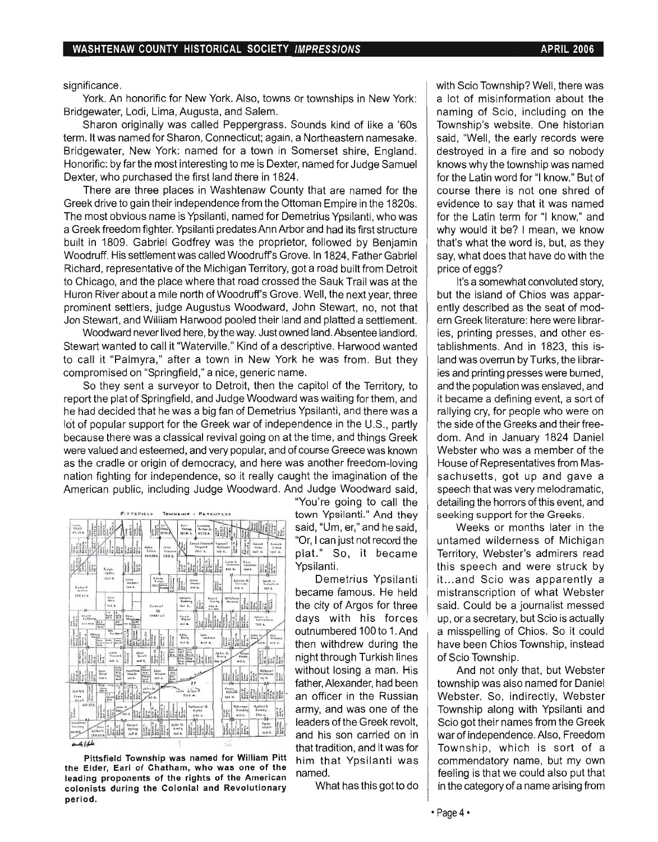significance.

York. An honorific for New York. Also, towns or townships in New York: Bridgewater, Lodi, Lima, Augusta, and Salem.

Sharon originally was called Peppergrass. Sounds kind of like a '60s term. It was named for Sharon, Connecticut; again, a Northeastern namesake. Bridgewater, New York: named for a town in Somerset shire, England. Honorific: by far the most interesting to me is Dexter, named for Judge Samuel Dexter, who purchased the first land there in 1824.

There are three places in Washtenaw County that are named for the Greek drive to gain their independence from the Ottoman Empire in the 1820s. The most obvious name is Ypsilanti, named for Demetrius Ypsilanti, who was a Greek freedom fighter. Ypsilanti predates Ann Arbor and had its first structure built in 1809. Gabriel Godfrey was the proprietor, followed by Benjamin Woodruff. His settlement was called Woodruff's Grove. In 1824, Father Gabriel Richard, representative of the Michigan Territory, got a road built from Detroit to Chicago, and the place where that road crossed the Sauk Trail was at the Huron River about a mile north of Woodruff's Grove. Well, the next year, three prominent settlers, judge Augustus Woodward, John Stewart, no, not that Jon Stewart, and William Harwood pooled their land and platted a settlement.

Woodward never lived here, by the way. Just owned land. Absentee landlord. Stewart wanted to call it "Waterville." Kind of a descriptive. Harwood wanted to call it "Palmyra," after a town in New York he was from. But they compromised on "Springfield," a nice, generic name.

So they sent a surveyor to Detroit, then the capitol of the Territory, to report the plat of Springfield, and Judge Woodward was waiting for them, and he had decided that he was a big fan of Demetrius Ypsilanti, and there was a lot of popular support for the Greek war of independence in the U.S., partly because there was a classical revival going on at the time, and things Greek were valued and esteemed, and very popular, and of course Greece was known as the cradle or origin of democracy, and here was another freedom-loving nation fighting for independence, so it really caught the imagination of the American public, including Judge Woodward. And Judge Woodward said,



Pittsfield Township was named for William Pitt the Elder, Earl of Chatham, who was one of the leading proponents of the rights of the American colonists during the Colonial and Revolutionary period.

"You're going to call the town Ypsilanti." And they "Or, I can just not record the plat." So, it became

또 With his forces  $\frac{1}{2}$  outnumbered 100 to 1. And then withdrew during the iIi ", If. ''::''. lJ' ':::,. ,t H ;;;,@~ " •. , ':~: .. *Vf;;:-* d •.• I • night through Turkish lines h 'isH. -.. , •• , ' j:;J i~r H,ll.·- V' ••• 'wi .. h - -. F';";': · F.5 .C-L..=-f=-b-f'-'L.--'=:::.::J....r r-1-r-f---r==F-j without losing a man. His without losing a man. His without losing a man. His ... <sup>對插插插</sup> an officer in the Russian army, and was one of the  $\frac{1}{\ln\left|\frac{1}{\ln\left|\frac{1}{\ln\left(\frac{1}{\ln\left(\frac{1}{\ln\left(\frac{1}{\ln\left(\frac{1}{\ln\left(\frac{1}{\ln\left(\frac{1}{\ln\left(\frac{1}{\ln\left(\frac{1}{\ln\left(\frac{1}{\ln\left(\frac{1}{\ln\left(\frac{1}{\ln\left(\frac{1}{\ln\left(\frac{1}{\ln\left(\frac{1}{\ln\left(\frac{1}{\ln\left(\frac{1}{\ln\left(\frac{1}{\ln\left(\frac{1}{\ln\left(\frac{1}{\ln\left(\frac{1}{\ln\left(\frac{1}{\ln\left(\frac{1$ and his son carried on in that tradition, and it was for him that Ypsilanti was named.

What has this got to do

with Scio Township? Well, there was a lot of misinformation about the naming of Scio, including on the Township's website. One historian said, "Well, the early records were destroyed in a fire and so nobody knows why the township was named for the Latin word for "I know." But of course there is not one shred of evidence to say that it was named for the Latin term for "I know," and why would it be? I mean, we know that's what the word is, but, as they say, what does that have do with the price of eggs?

It's a somewhat convoluted story, but the island of Chios was apparently described as the seat of modern Greek literature: here were libraries, printing presses, and other establishments. And in 1823, this island was overrun by Turks, the libraries and printing presses were burned, and the population was enslaved, and it became a defining event, a sort of rallying cry, for people who were on the side of the Greeks and their freedom. And in January 1824 Daniel Webster who was a member of the House of Representatives from Massachusetts, got up and gave a speech that was very melodramatic, detailing the horrors of this event, and seeking support for the Greeks.

Weeks or months later in the untamed wilderness of Michigan Territory, Webster's admirers read this speech and were struck by it.. .and Scio was apparently a mistranscription of what Webster said. Could be a journalist messed up, or a secretary, but Scio is actually a misspelling of Chios. So it could have been Chios Township, instead of Scio Township.

And not only that, but Webster township was also named for Daniel Webster. So, indirectly, Webster Township along with Ypsilanti and Scio got their names from the Greek war of independence. Also, Freedom Township, which is sort of a commendatory name, but my own feeling is that we could also put that in the category of a name arising from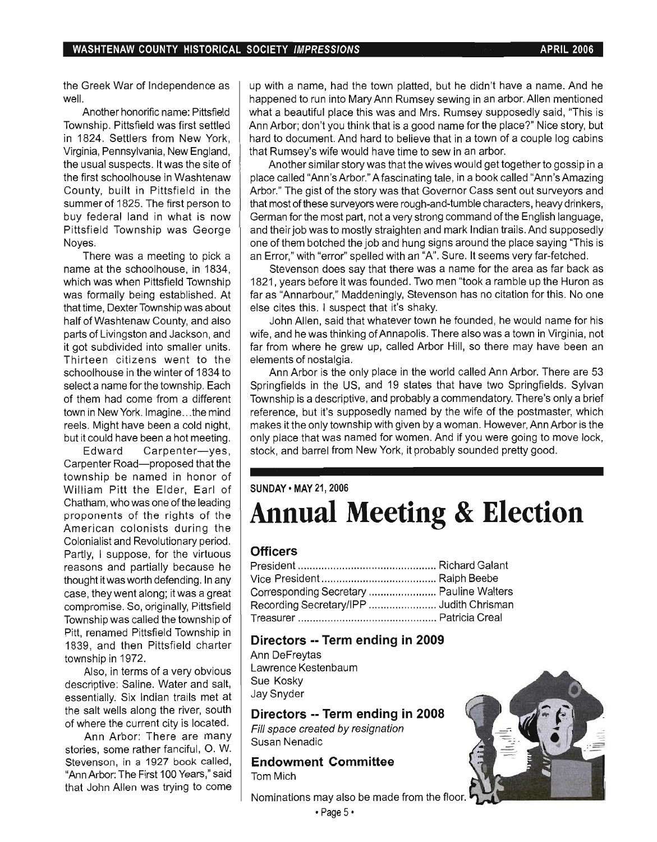the Greek War of Independence as well.

Another honorific name: Pittsfield Township. Pittsfield was first settled in 1824. Settlers from New York, Virginia, Pennsylvania, New England, the usual suspects. It was the site of the first schoolhouse in Washtenaw County, built in Pittsfield in the summer of 1825. The first person to buy federal land in what is now Pittsfield Township was George Noyes.

There was a meeting to pick a name at the schoolhouse, in 1834, which was when Pittsfield Township was formally being established. At that time, Dexter Township was about half of Washtenaw County, and also parts of Livingston and Jackson, and it got subdivided into smaller units. Thirteen citizens went to the schoolhouse in the winter of 1834 to select a name for the township. Each of them had come from a different town in New York. Imagine... the mind reels. Might have been a cold night, but it could have been a hot meeting.

Edward Carpenter-yes, Carpenter Road-proposed that the township be named in honor of William Pitt the Elder, Earl of Chatham, who was one of the leading proponents of the rights of the American colonists during the Colonialist and Revolutionary period. Partly, I suppose, for the virtuous reasons and partially because he thought it was worth defending. In any case, they went along; it was a great compromise. So, originally, Pittsfield Township was called the township of Pitt, renamed Pittsfield Township in 1839, and then Pittsfield charter township in 1972.

Also, in terms of a very obvious descriptive: Saline. Water and salt, essentially. Six Indian trails met at the salt wells along the river, south of where the current city is located.

Ann Arbor: There are many stories, some rather fanciful, O. W. Stevenson, in a 1927 book called, "Ann Arbor: The First 100 Years," said that John Allen was trying to come up with a name, had the town platted, but he didn't have a name. And he happened to run into Mary Ann Rumsey sewing in an arbor. Allen mentioned what a beautiful place this was and Mrs. Rumsey supposedly said, 'This is Ann Arbor; don't you think that is a good name for the place?" Nice story, but hard to document. And hard to believe that in a town of a couple log cabins that Rumsey's wife would have time to sew in an arbor.

Another similar story was that the wives would get together to gossip in a place called "Ann's Arbor." A faScinating tale, in a book called "Ann's Amazing Arbor." The gist of the story was that Governor Cass sent out surveyors and that most of these surveyors were rough-and-tumble characters, heavy drinkers, German for the most part, not a very strong command of the English language, and their job was to mostly straighten and mark Indian trails. And supposedly one of them botched the job and hung signs around the place saying 'This is an Error," with "error" spelled with an "A". Sure. It seems very far-fetched .

Stevenson does say that there was a name for the area as far back as 1821, years before it was founded. Two men "took a ramble up the Huron as far as "Annarbour," Maddeningly, Stevenson has no citation for this. No one else cites this. I suspect that it's shaky.

John Allen, said that whatever town he founded, he would name for his wife, and he was thinking of Annapolis. There also was a town in Virginia, not far from where he grew up, called Arbor Hill, so there may have been an elements of nostalgia.

Ann Arbor is the only place in the world called Ann Arbor. There are 53 Springfields in the US, and 19 states that have two Springfields. Sylvan Township is a descriptive, and probably a commendatory. There's only a brief reference, but it's supposedly named by the wife of the postmaster, which makes it the only township with given by a woman. However, Ann Arbor is the only place that was named for women. And if you were going to move lock, stock, and barrel from New York, it probably sounded pretty good.

#### SUNDAY • MAY 21, 2006

# **Annual Meeting & Election**

## **Officers**

| Corresponding Secretary  Pauline Walters |  |
|------------------------------------------|--|
| Recording Secretary/IPP  Judith Chrisman |  |
|                                          |  |

## **Directors -- Term ending in 2009**

Ann DeFreytas Lawrence Kestenbaum Sue Kosky Jay Snyder

### **Directors -- Term ending in 2008**

Fill space created by resignation Susan Nenadic

# **Endowment Committee**

Tom Mich

Nominations may also be made from the floor.

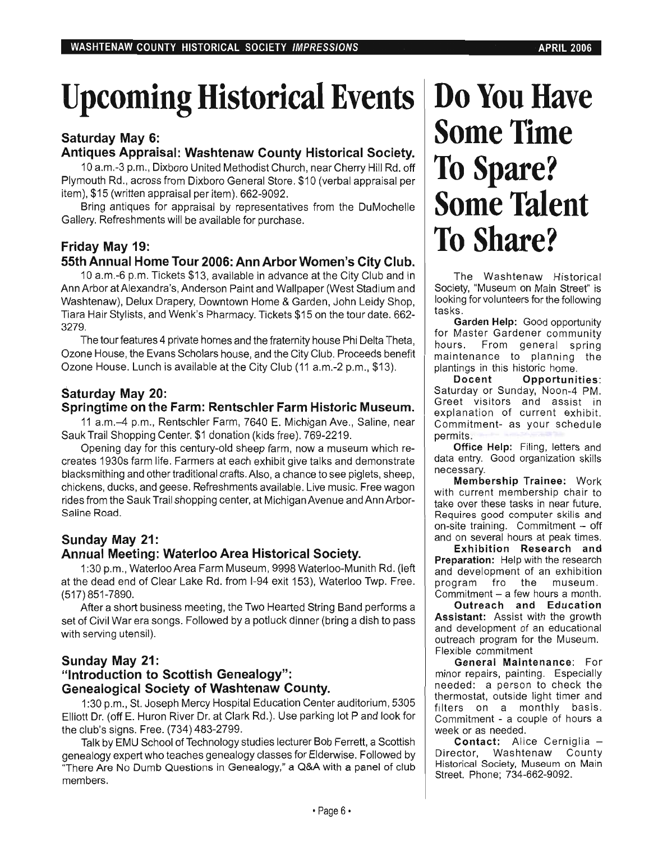# Upcoming Historical Events | Do You Have

## Saturday May 6: Antiques Appraisal: Washtenaw County Historical Society.

10 a.m.-3 p.m., Dixboro United Methodist Church, near Cherry Hill Rd. off Plymouth Rd., across from Dixboro General Store. \$10 (verbal appraisal per item), \$15 (written appraisal per item). 662-9092.

Bring antiques for appraisal by representatives from the DuMochelie Gallery. Refreshments will be available for purchase.

# Friday May 19:

# 55th Annual Home Tour 2006: Ann Arbor Women's City Club.

10 a.m.-6 p.m. Tickets \$13, available in advance at the City Club and in Ann Arbor at Alexandra's, Anderson Paint and Wallpaper (West Stadium and Washtenaw), Delux Drapery, Downtown Home & Garden, John Leidy Shop, Tiara Hair Stylists, and Wenk's Pharmacy. Tickets \$15 on the tour date. 662- 3279.

The tour features 4 private homes and the fraternity house Phi Delta Theta, Ozone House, the Evans Scholars house, and the City Club. Proceeds benefit Ozone House. Lunch is available at the City Club (11 a.m.-2 p.m., \$13).

# Saturday May 20:

## Springtime on the Farm: Rentschler Farm Historic Museum.

11 a.m.-4 p.m., Rentschler Farm, 7640 E. Michigan Ave., Saline, near Sauk Trail Shopping Center. \$1 donation (kids free). 769-2219.

Opening day for this century-old sheep farm, now a museum which recreates 1930s farm life. Farmers at each exhibit give talks and demonstrate blacksmithing and other traditional crafts. Also, a chance to see piglets, sheep, chickens, ducks, and geese. Refreshments available. Live music. Free wagon rides from the Sauk Trail shopping center, at Michigan Avenue and Ann Arbor-Saline Road.

# Sunday May 21: Annual Meeting: Waterloo Area Historical Society.

1 :30 p.m., Waterloo Area Farm Museum, 9998 Waterloo-Munith Rd. (left at the dead end of Clear Lake Rd. from 1-94 exit 153), Waterloo Twp. Free. (517) 851-7890.

After a short business meeting, the Two Hearted String Band performs a set of Civil War era songs. Followed by a potluck dinner (bring a dish to pass with serving utensil).

# Sunday May 21:

# "Introduction to Scottish Genealogy": Genealogical Society of Washtenaw County.

1 :30 p.m., St. Joseph Mercy Hospital Education Center auditorium, 5305 Elliott Dr. (off E. Huron River Dr. at Clark Rd.). Use parking lot P and look for the club's signs. Free. (734) 483-2799.

Talk by EMU School of Technology studies lecturer Bob Ferrett, a Scottish genealogy expert who teaches genealogy classes for Elderwise. Followed by 'There Are No Dumb Questions in Genealogy," a Q&A with a panel of club members.

# **Some Time To Spare?**  Some Talent **To Share?**

The Washtenaw Historical Society, "Museum on Main Street" is looking for volunteers for the following tasks.

Garden Help: Good opportunity for Master Gardener community hours. From general spring maintenance to planning the plantings in this historic home.

Docent Opportunities: Saturday or Sunday, Noon-4 PM. Greet visitors and assist in explanation of current exhibit. Commitment- as your schedule permits.

Office Help: Filing, letters and data entry. Good organization skills necessary.

Membership Trainee: Work with current membership chair to take over these tasks in near future. Requires good computer skills and on-site training. Commitment  $-$  off and on several hours at peak times.

Exhibition Research and Preparation: Help with the research and development of an exhibition program fro the museum. Commitment - a few hours a month.

Outreach and Education Assistant: Assist with the growth and development of an educational outreach program for the Museum. Flexible commitment

General Maintenance: For minor repairs, painting. Especially needed: a person to check the thermostat, outside light timer and filters on a monthly basis. Commitment - a couple of hours a week or as needed.

Contact: Alice Cerniglia -Director, Washtenaw County Historical Society, Museum on Main Street. Phone; 734-662-9092.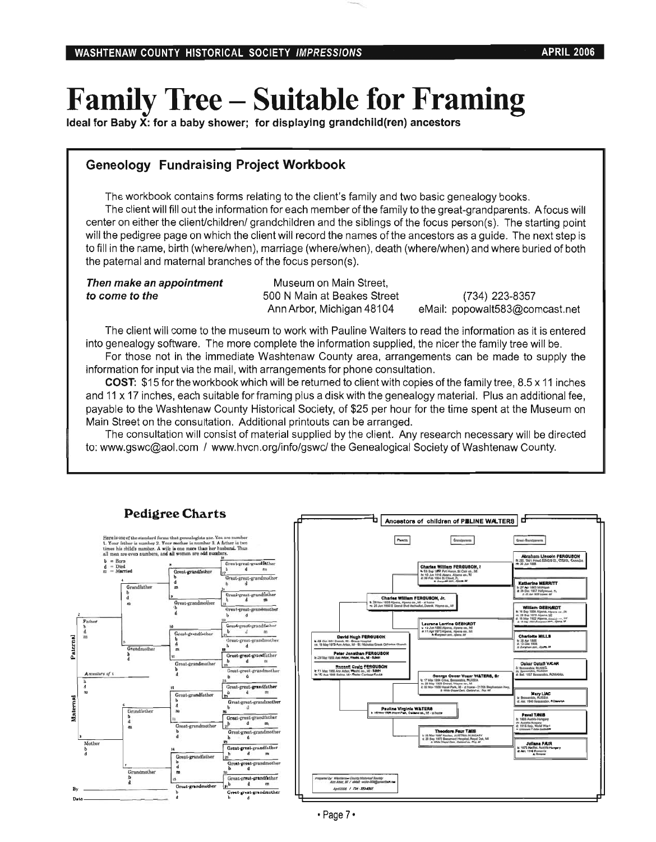# Family Tree **- Suitable for** Framing

Ideal for Baby  $\overline{X}$ : for a baby shower; for displaying grandchild(ren) ancestors

## Geneology Fundraising Project Workbook

The workbook contains forms relating to the client's family and two basic genealogy books. The client will fill out the information for each member of the family to the great-grandparents. A focus will center on either the client/children/ grandchildren and the siblings of the focus person(s). The starting point will the pedigree page on which the client will record the names of the ancestors as a guide. The next step is to fill in the name, birth (where/when), marriage (where/when), death (where/when) and where buried of both the paternal and maternal branches of the focus person(s).

| Then make an appointment |  |
|--------------------------|--|
| to come to the           |  |

Museum on Main Street, 500 N Main at Beakes Street Ann Arbor, Michigan 48104

(734) 223-8357 eMail: popowalt583@comcast.net

The client will come to the museum to work with Pauline Walters to read the information as it is entered into genealogy software. The more complete the information supplied, the nicer the family tree will be.

For those not in the immediate Washtenaw County area, arrangements can be made to supply the information for input via the mail, with arrangements for phone consultation.

COST: \$1 5 for the workbook which will be returned to client with copies of the family tree, 8.5 x 11 inches and 11 x 17 inches, each suitable for framing plus a disk with the genealogy material. Plus an additional fee, payable to the Washtenaw County Historical Society, of \$25 per hour for the time spent at the Museum on Main Street on the consultation. Additional printouts can be arranged.

The consultation will consist of material supplied by the client. Any research necessary will be directed to: www.gswc@aol.com / www.hvcn.org/info/gswc/ the Genealogical Society of Washtenaw County.



## Pedigree Charts